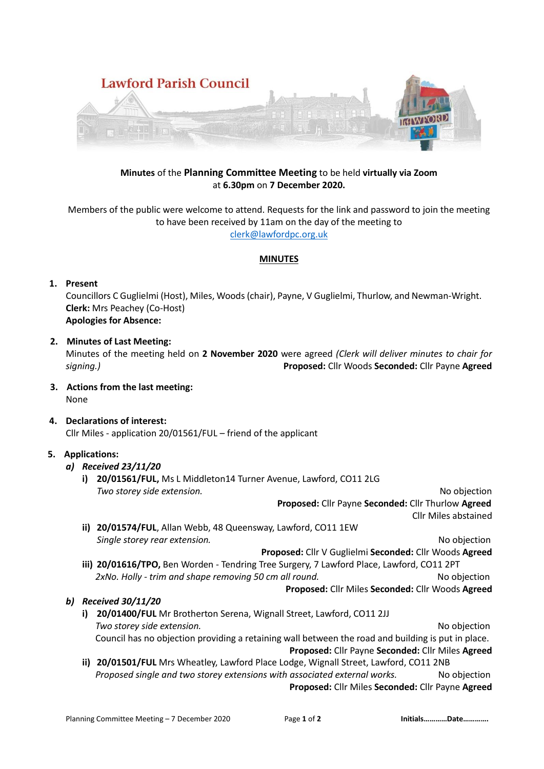

# **Minutes** of the **Planning Committee Meeting** to be held **virtually via Zoom** at **6.30pm** on **7 December 2020.**

Members of the public were welcome to attend. Requests for the link and password to join the meeting to have been received by 11am on the day of the meeting to [clerk@lawfordpc.org.uk](mailto:clerk@lawfordpc.org.uk)

#### **MINUTES**

# **1. Present**

Councillors C Guglielmi (Host), Miles, Woods (chair), Payne, V Guglielmi, Thurlow, and Newman-Wright. **Clerk:** Mrs Peachey (Co-Host) **Apologies for Absence:** 

### **2. Minutes of Last Meeting:**

Minutes of the meeting held on **2 November 2020** were agreed *(Clerk will deliver minutes to chair for signing.)* **Proposed:** Cllr Woods **Seconded:** Cllr Payne **Agreed**

- **3. Actions from the last meeting:** None
- **4. Declarations of interest:** Cllr Miles - application 20/01561/FUL – friend of the applicant

# **5. Applications:**

# *a) Received 23/11/20*

**i) 20/01561/FUL,** Ms L Middleton14 Turner Avenue, Lawford, CO11 2LG *Two storey side extension.* No objection

**Proposed:** Cllr Payne **Seconded:** Cllr Thurlow **Agreed** Cllr Miles abstained

**ii) 20/01574/FUL**, Allan Webb, 48 Queensway, Lawford, CO11 1EW *Single storey rear extension.* No objection

**Proposed:** Cllr V Guglielmi **Seconded:** Cllr Woods **Agreed**

**iii) 20/01616/TPO,** Ben Worden - Tendring Tree Surgery, 7 Lawford Place, Lawford, CO11 2PT  *2xNo. Holly - trim and shape removing 50 cm all round.* No objection **Proposed:** Cllr Miles **Seconded:** Cllr Woods **Agreed**

# *b) Received 30/11/20*

- **i) 20/01400/FUL** Mr Brotherton Serena, Wignall Street, Lawford, CO11 2JJ *Two storey side extension.* No objection Council has no objection providing a retaining wall between the road and building is put in place. **Proposed:** Cllr Payne **Seconded:** Cllr Miles **Agreed**
- **ii) 20/01501/FUL** Mrs Wheatley, Lawford Place Lodge, Wignall Street, Lawford, CO11 2NB  *Proposed single and two storey extensions with associated external works.* No objection **Proposed:** Cllr Miles **Seconded:** Cllr Payne **Agreed**